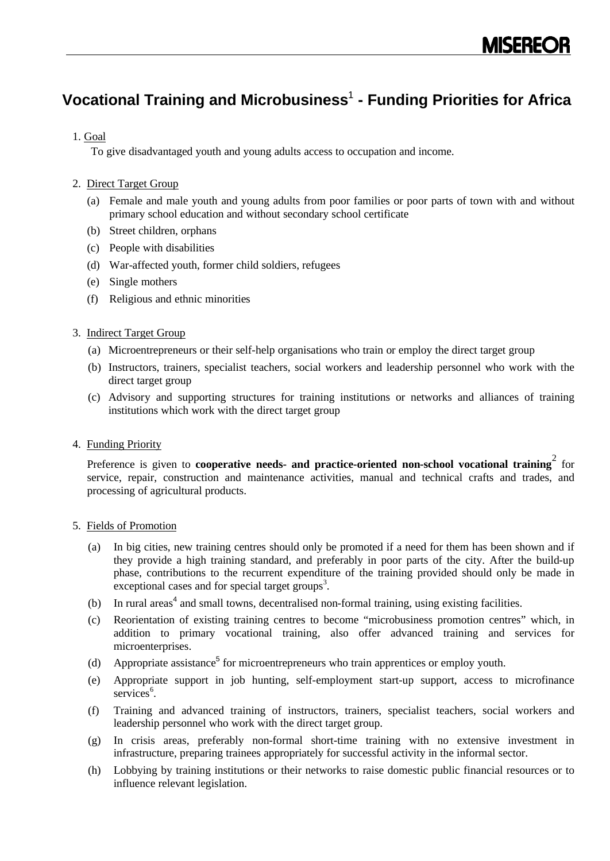# **Vocational Training and Microbusiness**<sup>1</sup> **- Funding Priorities for Africa**

## 1. Goal

To give disadvantaged youth and young adults access to occupation and income.

## 2. Direct Target Group

- (a) Female and male youth and young adults from poor families or poor parts of town with and without primary school education and without secondary school certificate
- (b) Street children, orphans
- (c) People with disabilities
- (d) War-affected youth, former child soldiers, refugees
- (e) Single mothers
- (f) Religious and ethnic minorities

## 3. Indirect Target Group

- (a) Microentrepreneurs or their self-help organisations who train or employ the direct target group
- (b) Instructors, trainers, specialist teachers, social workers and leadership personnel who work with the direct target group
- (c) Advisory and supporting structures for training institutions or networks and alliances of training institutions which work with the direct target group

## 4. Funding Priority

Preference is given to **cooperative needs- and practice-oriented non-school vocational training**<sup>2</sup> for service, repair, construction and maintenance activities, manual and technical crafts and trades, and processing of agricultural products.

## 5. Fields of Promotion

- (a) In big cities, new training centres should only be promoted if a need for them has been shown and if they provide a high training standard, and preferably in poor parts of the city. After the build-up phase, contributions to the recurrent expenditure of the training provided should only be made in exceptional cases and for special target groups<sup>3</sup>.
- (b) In rural areas<sup>4</sup> and small towns, decentralised non-formal training, using existing facilities.
- (c) Reorientation of existing training centres to become "microbusiness promotion centres" which, in addition to primary vocational training, also offer advanced training and services for microenterprises.
- (d) Appropriate assistance<sup>5</sup> for microentrepreneurs who train apprentices or employ youth.
- (e) Appropriate support in job hunting, self-employment start-up support, access to microfinance services<sup>6</sup>.
- (f) Training and advanced training of instructors, trainers, specialist teachers, social workers and leadership personnel who work with the direct target group.
- (g) In crisis areas, preferably non-formal short-time training with no extensive investment in infrastructure, preparing trainees appropriately for successful activity in the informal sector.
- (h) Lobbying by training institutions or their networks to raise domestic public financial resources or to influence relevant legislation.